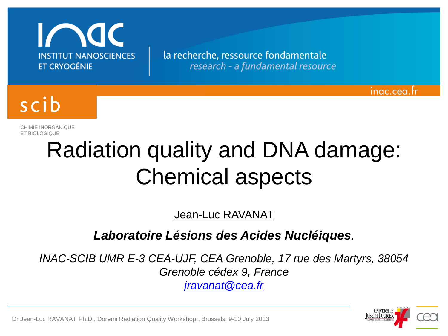

la recherche, ressource fondamentale research - a fundamental resource



CHIMIE INORGANIQUE ET BIOLOGIQUE

# Radiation quality and DNA damage: Chemical aspects

Jean-Luc RAVANAT

### *Laboratoire Lésions des Acides Nucléiques,*

*INAC-SCIB UMR E-3 CEA-UJF, CEA Grenoble, 17 rue des Martyrs, 38054 Grenoble cédex 9, France*

*[jravanat@cea.fr](mailto:jravanat@cea.fr)*



inac.cea.tr

Dr Jean-Luc RAVANAT Ph.D., Doremi Radiation Quality Workshopr, Brussels, 9-10 July 2013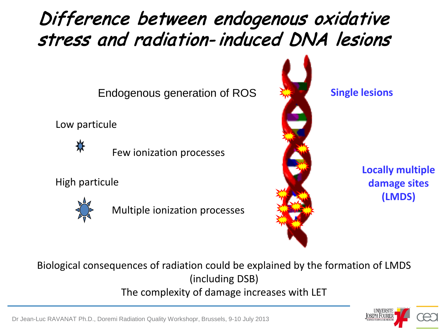# Difference between endogenous oxidative stress and radiation- induced DNA lesions

Endogenous generation of ROS

Low particule



Few ionization processes

High particule



Multiple ionization processes



**Single lesions**

**Locally multiple damage sites (LMDS)**

Biological consequences of radiation could be explained by the formation of LMDS (including DSB) The complexity of damage increases with LET



UNIVERSITE<br><u>JOSEPH FOURIER</u>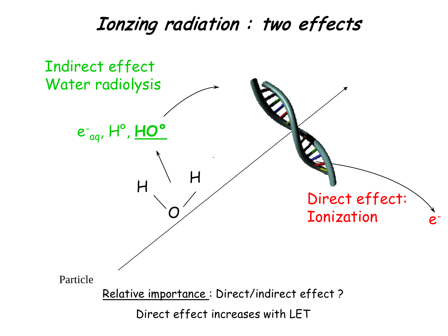### Ionzing radiation : two effects

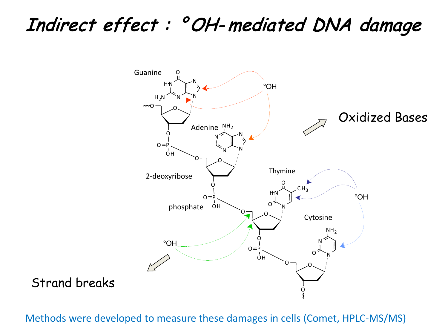# Indirect effect : ° OH- mediated DNA damage



Strand breaks

Methods were developed to measure these damages in cells (Comet, HPLC-MS/MS)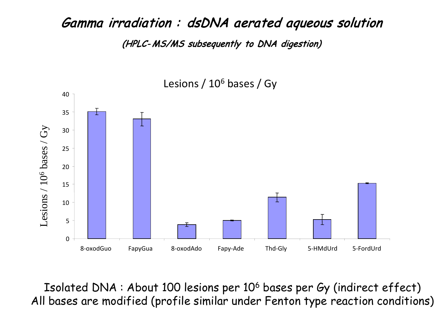### Gamma irradiation : dsDNA aerated aqueous solution (HPLC- MS/MS subsequently to DNA digestion)



Lesions / 106 bases / Gy

Isolated DNA : About 100 lesions per 106 bases per Gy (indirect effect) All bases are modified (profile similar under Fenton type reaction conditions)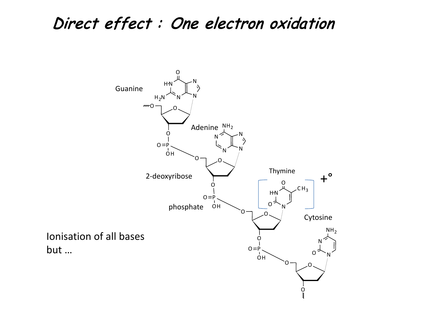### Direct effect : One electron oxidation

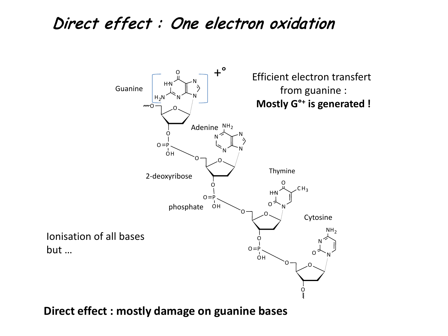### Direct effect : One electron oxidation



**Direct effect : mostly damage on guanine bases**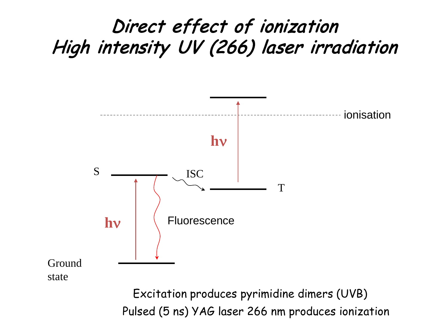### Direct effect of ionization High intensity UV (266) laser irradiation



Pulsed (5 ns) YAG laser 266 nm produces ionization Excitation produces pyrimidine dimers (UVB)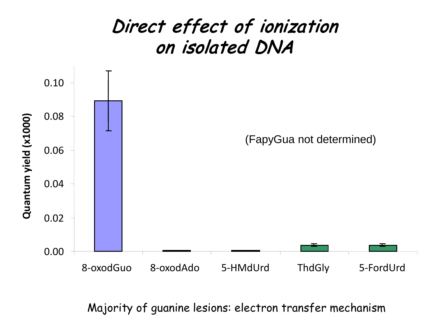

Majority of guanine lesions: electron transfer mechanism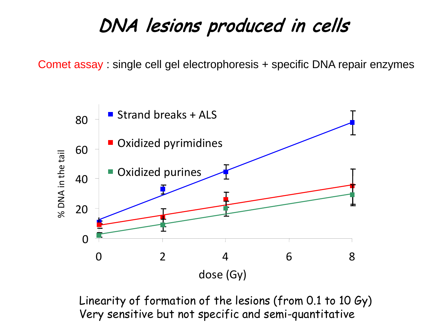### DNA lesions produced in cells

Comet assay : single cell gel electrophoresis + specific DNA repair enzymes



Linearity of formation of the lesions (from 0.1 to 10 Gy) Very sensitive but not specific and semi-quantitative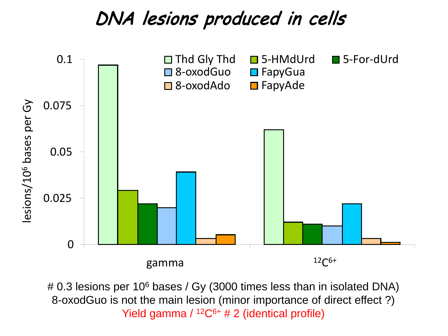### DNA lesions produced in cells



# 0.3 lesions per 10<sup>6</sup> bases / Gy (3000 times less than in isolated DNA) 8-oxodGuo is not the main lesion (minor importance of direct effect ?) Yield gamma  $/$  <sup>12</sup>C<sup>6+</sup> # 2 (identical profile)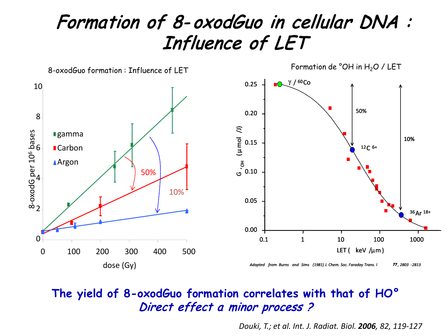### Formation of 8- oxodGuo in cellular DNA : Influence of LET



#### **The yield of 8-oxodGuo formation correlates with that of HO°** Direct effect a minor process ?

*Douki, T.; et al. Int. J. Radiat. Biol. 2006, 82, 119-127*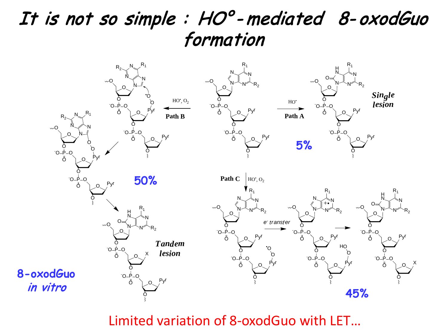### It is not so simple : HO° - mediated 8- oxodGuo formation



Limited variation of 8-oxodGuo with LET…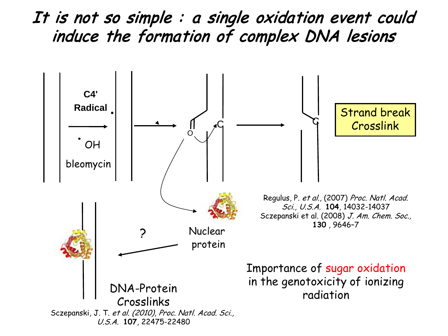It is not so simple : a single oxidation event could induce the formation of complex DNA lesions

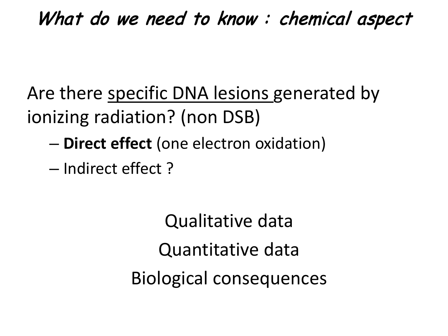# What do we need to know : chemical aspect

Are there specific DNA lesions generated by ionizing radiation? (non DSB)

- **Direct effect** (one electron oxidation)
- Indirect effect ?

Qualitative data Quantitative data Biological consequences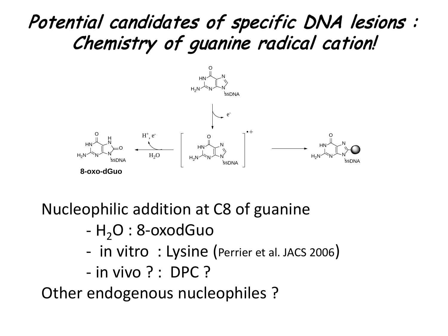## Potential candidates of specific DNA lesions : Chemistry of guanine radical cation!



Nucleophilic addition at C8 of guanine

- $-H<sub>2</sub>O$  : 8-oxodGuo
- in vitro : Lysine (Perrier et al. JACS 2006)
- in vivo ? : DPC ?

Other endogenous nucleophiles ?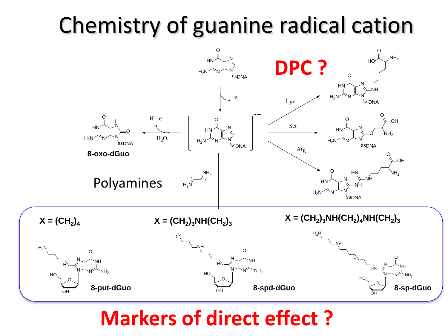# Chemistry of guanine radical cation



### **Markers of direct effect ?**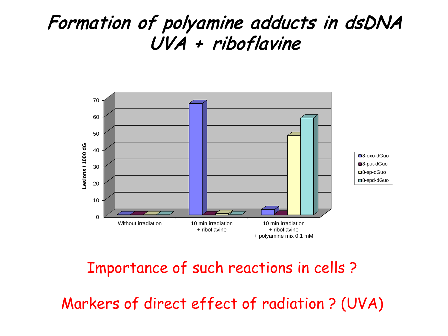### Formation of polyamine adducts in dsDNA UVA + riboflavine



#### Polyamines inhibit the formation of 8-oxo-dGuo. Importance of such reactions in cells ?

Nucleophilic addition of polyamines is very efficient in vitro of polyamines in vitro of polyamines is very eff

Markers of direct effect of radiation ? (UVA)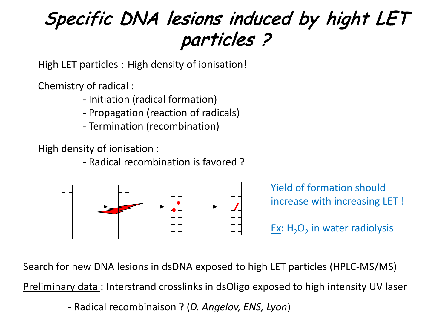# Specific DNA lesions induced by hight LET particles ?

High LET particles : High density of ionisation!

Chemistry of radical :

- Initiation (radical formation)
- Propagation (reaction of radicals)
- Termination (recombination)

High density of ionisation :

- Radical recombination is favored ?



Yield of formation should increase with increasing LET ! Ex:  $H_2O_2$  in water radiolysis

Search for new DNA lesions in dsDNA exposed to high LET particles (HPLC-MS/MS) Preliminary data : Interstrand crosslinks in dsOligo exposed to high intensity UV laser - Radical recombinaison ? (*D. Angelov, ENS, Lyon*)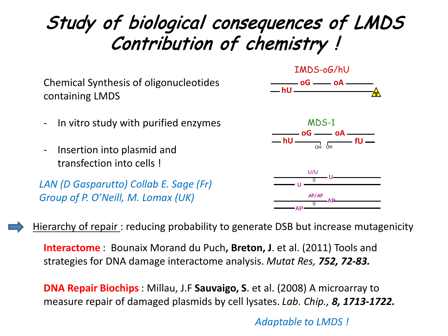# Study of biological consequences of LMDS Contribution of chemistry !

Chemical Synthesis of oligonucleotides containing LMDS

- In vitro study with purified enzymes
- Insertion into plasmid and transfection into cells !

*LAN (D Gasparutto) Collab E. Sage (Fr) Group of P. O'Neill, M. Lomax (UK)*







Hierarchy of repair : reducing probability to generate DSB but increase mutagenicity

**Interactome** : Bounaix Morand du Puch**, Breton, J**. et al. (2011) Tools and strategies for DNA damage interactome analysis. *Mutat Res, 752, 72-83.*

**DNA Repair Biochips** : Millau, J.F **Sauvaigo, S**. et al. (2008) A microarray to measure repair of damaged plasmids by cell lysates. *Lab. Chip., 8, 1713-1722.*

*Adaptable to LMDS !*